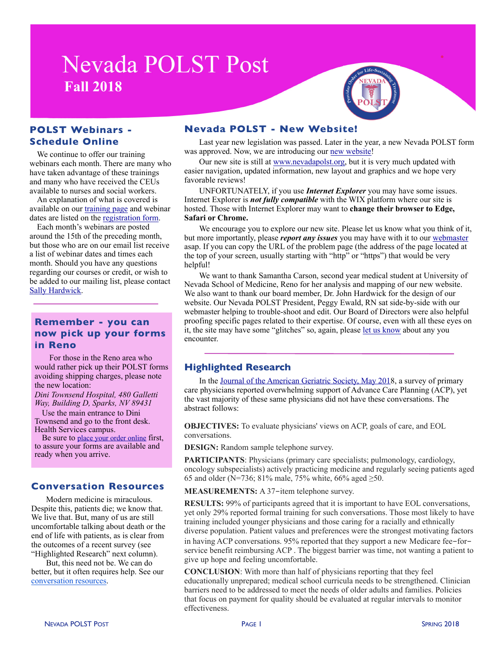# **Nevada POLST Post Fall 2018**

# **POLST Webinars - Schedule Online**

We continue to offer our training webinars each month. There are many who have taken advantage of these trainings and many who have received the CEUs available to nurses and social workers.

An explanation of what is covered is available on our [training page](http://www.nevadapolst.org/polst-training) and webinar dates are listed on the [registration form.](http://www.nevadapolst.org/webinar-registration)

Each month's webinars are posted around the 15th of the preceding month, but those who are on our email list receive a list of webinar dates and times each month. Should you have any questions regarding our courses or credit, or wish to be added to our mailing list, please contact [Sally Hardwick.](mailto:sph@nevadapolst.org?subject=Retro-Active%20CEU%20Credit)

# **Remember - you can now pick up your forms in Reno**

For those in the Reno area who would rather pick up their POLST forms avoiding shipping charges, please note the new location:

*Dini Townsend Hospital, 480 Galletti Way, Building D, Sparks, NV 89431* 

Use the main entrance to Dini Townsend and go to the front desk. Health Services campus.

Be sure to [place your order online](http://www.nevadapolst.org/nevada-polst-form/order-polst-forms/) first, to assure your forms are available and ready when you arrive.

#### **Conversation Resources**

Modern medicine is miraculous. Despite this, patients die; we know that. We live that. But, many of us are still uncomfortable talking about death or the end of life with patients, as is clear from the outcomes of a recent survey (see "Highlighted Research" next column).

But, this need not be. We can do better, but it often requires help. See our [conversation resources](https://www.nevadapolst.org/conversation).

### **Nevada POLST - New Website!**

Last year new legislation was passed. Later in the year, a new Nevada POLST form was approved. Now, we are introducing our [new website](http://www.nevadapolst.org)!

Our new site is still at [www.nevadapolst.org,](http://www.nevadapolst.org) but it is very much updated with easier navigation, updated information, new layout and graphics and we hope very favorable reviews!

UNFORTUNATELY, if you use *Internet Explorer* you may have some issues. Internet Explorer is *not fully compatible* with the WIX platform where our site is hosted. Those with Internet Explorer may want to **change their browser to Edge, Safari or Chrome.**

We encourage you to explore our new site. Please let us know what you think of it, but more importantly, please *report any issues* you may have with it to our [webmaster](mailto:sph1sph@gmail.com?subject=POLST%20website) asap. If you can copy the URL of the problem page (the address of the page located at the top of your screen, usually starting with "http" or "https") that would be very helpful!

We want to thank Samantha Carson, second year medical student at University of Nevada School of Medicine, Reno for her analysis and mapping of our new website. We also want to thank our board member, Dr. John Hardwick for the design of our website. Our Nevada POLST President, Peggy Ewald, RN sat side-by-side with our webmaster helping to trouble-shoot and edit. Our Board of Directors were also helpful proofing specific pages related to their expertise. Of course, even with all these eyes on it, the site may have some "glitches" so, again, please [let us know](mailto:info@nevadapolst.org?subject=Website%20Issue) about any you encounter.

## **Highlighted Research**

In the [Journal of the American Geriatric Society, May 2018](https://onlinelibrary.wiley.com/doi/full/10.1111/jgs.15374), a survey of primary care physicians reported overwhelming support of Advance Care Planning (ACP), yet the vast majority of these same physicians did not have these conversations. The abstract follows:

**OBJECTIVES:** To evaluate physicians' views on ACP, goals of care, and EOL conversations.

**DESIGN:** Random sample telephone survey.

**PARTICIPANTS**: Physicians (primary care specialists; pulmonology, cardiology, oncology subspecialists) actively practicing medicine and regularly seeing patients aged 65 and older (N=736; 81% male, 75% white, 66% aged  $\geq 50$ .

**MEASUREMENTS:** A 37-item telephone survey.

**RESULTS:** 99% of participants agreed that it is important to have EOL conversations, yet only 29% reported formal training for such conversations. Those most likely to have training included younger physicians and those caring for a racially and ethnically diverse population. Patient values and preferences were the strongest motivating factors in having ACP conversations. 95% reported that they support a new Medicare fee-forservice benefit reimbursing ACP . The biggest barrier was time, not wanting a patient to give up hope and feeling uncomfortable.

**CONCLUSION**: With more than half of physicians reporting that they feel educationally unprepared; medical school curricula needs to be strengthened. Clinician barriers need to be addressed to meet the needs of older adults and families. Policies that focus on payment for quality should be evaluated at regular intervals to monitor effectiveness.